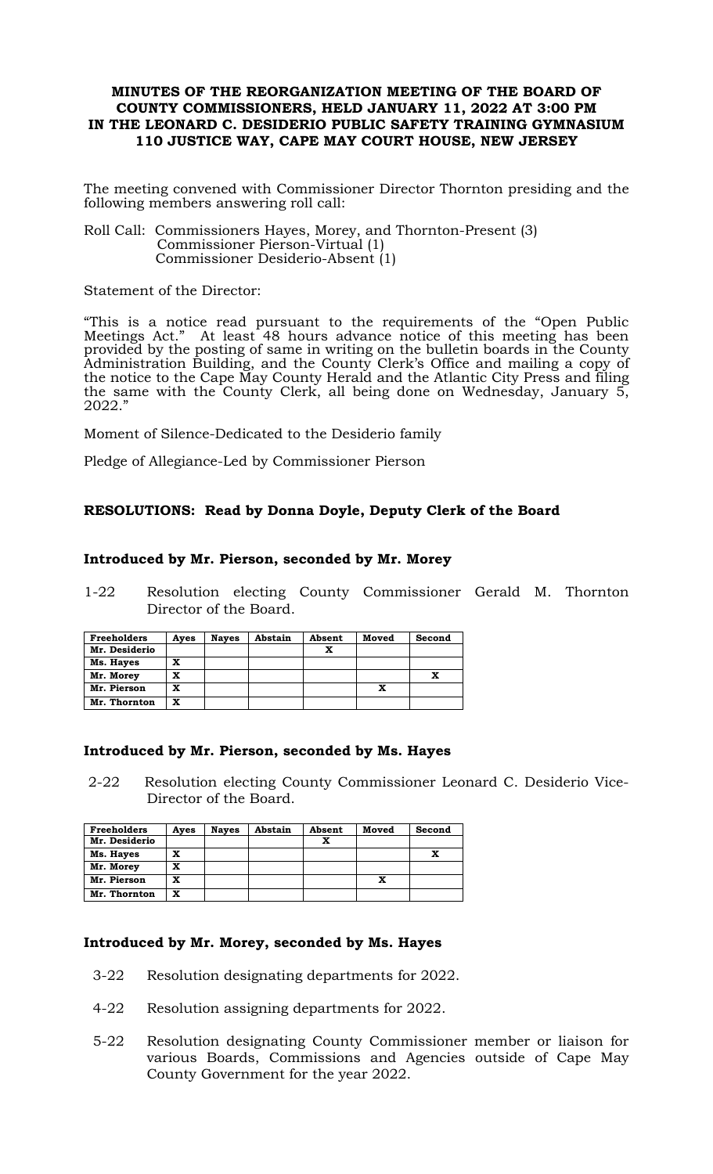# **MINUTES OF THE REORGANIZATION MEETING OF THE BOARD OF COUNTY COMMISSIONERS, HELD JANUARY 11, 2022 AT 3:00 PM IN THE LEONARD C. DESIDERIO PUBLIC SAFETY TRAINING GYMNASIUM 110 JUSTICE WAY, CAPE MAY COURT HOUSE, NEW JERSEY**

The meeting convened with Commissioner Director Thornton presiding and the following members answering roll call:

Roll Call: Commissioners Hayes, Morey, and Thornton-Present (3) Commissioner Pierson-Virtual (1) Commissioner Desiderio-Absent (1)

Statement of the Director:

"This is a notice read pursuant to the requirements of the "Open Public Meetings Act." At least 48 hours advance notice of this meeting has been provided by the posting of same in writing on the bulletin boards in the County Administration Building, and the County Clerk's Office and mailing a copy of the notice to the Cape May County Herald and the Atlantic City Press and filing the same with the County Clerk, all being done on Wednesday, January 5, 2022."

Moment of Silence-Dedicated to the Desiderio family

Pledge of Allegiance-Led by Commissioner Pierson

# **RESOLUTIONS: Read by Donna Doyle, Deputy Clerk of the Board**

### **Introduced by Mr. Pierson, seconded by Mr. Morey**

1-22 Resolution electing County Commissioner Gerald M. Thornton Director of the Board.

| <b>Freeholders</b> | Ayes | <b>Naves</b> | Abstain | Absent | Moved | Second |
|--------------------|------|--------------|---------|--------|-------|--------|
| Mr. Desiderio      |      |              |         | x      |       |        |
| Ms. Hayes          | x    |              |         |        |       |        |
| Mr. Morey          | x    |              |         |        |       |        |
| Mr. Pierson        | x    |              |         |        |       |        |
| Mr. Thornton       | x    |              |         |        |       |        |

#### **Introduced by Mr. Pierson, seconded by Ms. Hayes**

2-22 Resolution electing County Commissioner Leonard C. Desiderio Vice-Director of the Board.

| <b>Freeholders</b> | Ayes | <b>Naves</b> | Abstain | Absent | Moved | Second |
|--------------------|------|--------------|---------|--------|-------|--------|
| Mr. Desiderio      |      |              |         | x      |       |        |
| Ms. Hayes          | x    |              |         |        |       |        |
| Mr. Morey          | x    |              |         |        |       |        |
| Mr. Pierson        | x    |              |         |        |       |        |
| Mr. Thornton       | x    |              |         |        |       |        |

### **Introduced by Mr. Morey, seconded by Ms. Hayes**

- 3-22 Resolution designating departments for 2022.
- 4-22 Resolution assigning departments for 2022.
- 5-22 Resolution designating County Commissioner member or liaison for various Boards, Commissions and Agencies outside of Cape May County Government for the year 2022.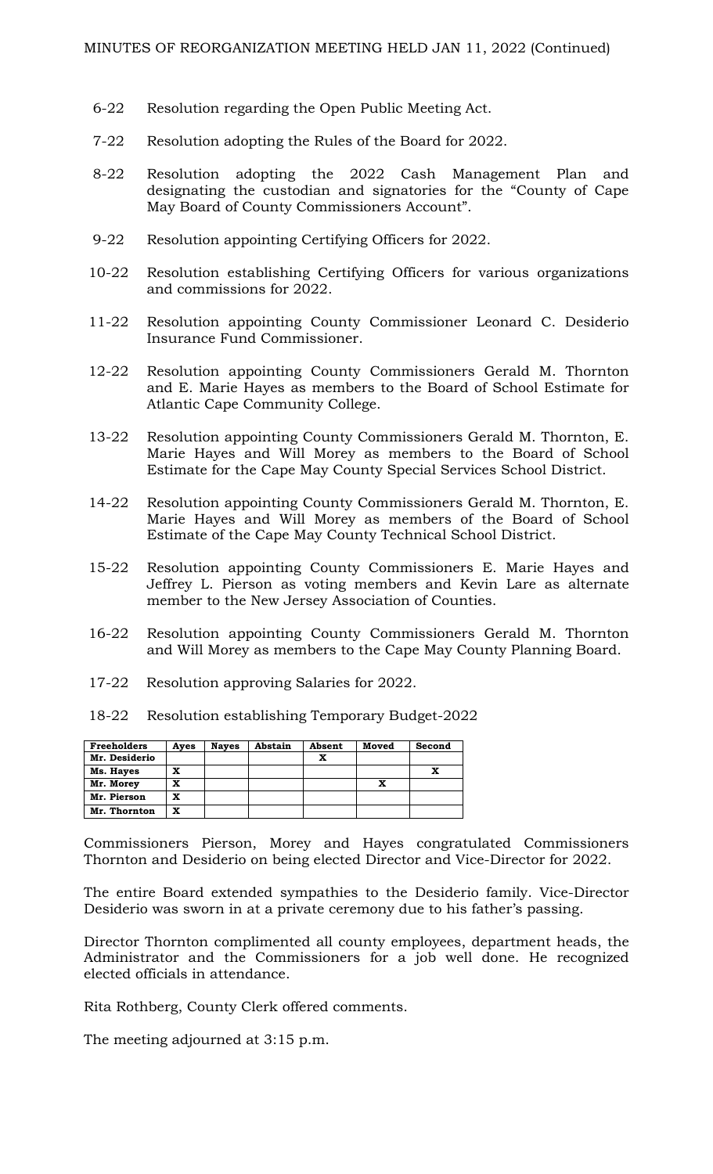- 6-22 Resolution regarding the Open Public Meeting Act.
- 7-22 Resolution adopting the Rules of the Board for 2022.
- 8-22 Resolution adopting the 2022 Cash Management Plan and designating the custodian and signatories for the "County of Cape May Board of County Commissioners Account".
- 9-22 Resolution appointing Certifying Officers for 2022.
- 10-22 Resolution establishing Certifying Officers for various organizations and commissions for 2022.
- 11-22 Resolution appointing County Commissioner Leonard C. Desiderio Insurance Fund Commissioner.
- 12-22 Resolution appointing County Commissioners Gerald M. Thornton and E. Marie Hayes as members to the Board of School Estimate for Atlantic Cape Community College.
- 13-22 Resolution appointing County Commissioners Gerald M. Thornton, E. Marie Hayes and Will Morey as members to the Board of School Estimate for the Cape May County Special Services School District.
- 14-22 Resolution appointing County Commissioners Gerald M. Thornton, E. Marie Hayes and Will Morey as members of the Board of School Estimate of the Cape May County Technical School District.
- 15-22 Resolution appointing County Commissioners E. Marie Hayes and Jeffrey L. Pierson as voting members and Kevin Lare as alternate member to the New Jersey Association of Counties.
- 16-22 Resolution appointing County Commissioners Gerald M. Thornton and Will Morey as members to the Cape May County Planning Board.
- 17-22 Resolution approving Salaries for 2022.
- 18-22 Resolution establishing Temporary Budget-2022

| <b>Freeholders</b> | Ayes | <b>Naves</b> | Abstain | Absent | Moved | Second |
|--------------------|------|--------------|---------|--------|-------|--------|
| Mr. Desiderio      |      |              |         | x      |       |        |
| Ms. Hayes          | x    |              |         |        |       |        |
| Mr. Morey          | x    |              |         |        |       |        |
| Mr. Pierson        | x    |              |         |        |       |        |
| Mr. Thornton       | x    |              |         |        |       |        |

Commissioners Pierson, Morey and Hayes congratulated Commissioners Thornton and Desiderio on being elected Director and Vice-Director for 2022.

The entire Board extended sympathies to the Desiderio family. Vice-Director Desiderio was sworn in at a private ceremony due to his father's passing.

Director Thornton complimented all county employees, department heads, the Administrator and the Commissioners for a job well done. He recognized elected officials in attendance.

Rita Rothberg, County Clerk offered comments.

The meeting adjourned at 3:15 p.m.